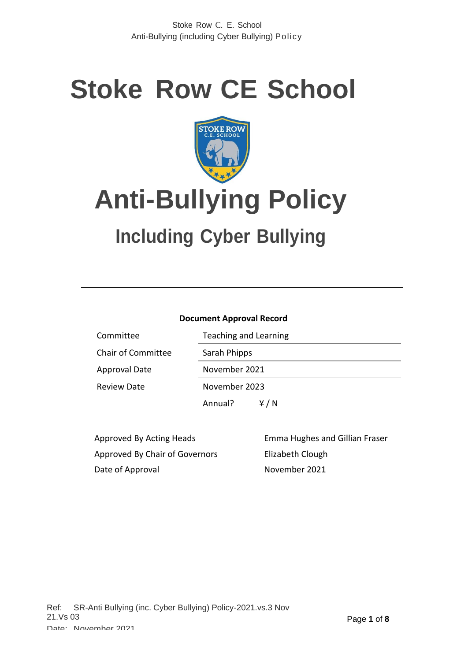# **Stoke Row CE School**



# **Anti-Bullying Policy**

# **Including Cyber Bullying**

#### **Document Approval Record**

| Committee                 | <b>Teaching and Learning</b> |
|---------------------------|------------------------------|
| <b>Chair of Committee</b> | Sarah Phipps                 |
| <b>Approval Date</b>      | November 2021                |
| <b>Review Date</b>        | November 2023                |
|                           | Y/N<br>Annual?               |

Approved By Chair of Governors Elizabeth Clough Date of Approval November 2021

Approved By Acting Heads Emma Hughes and Gillian Fraser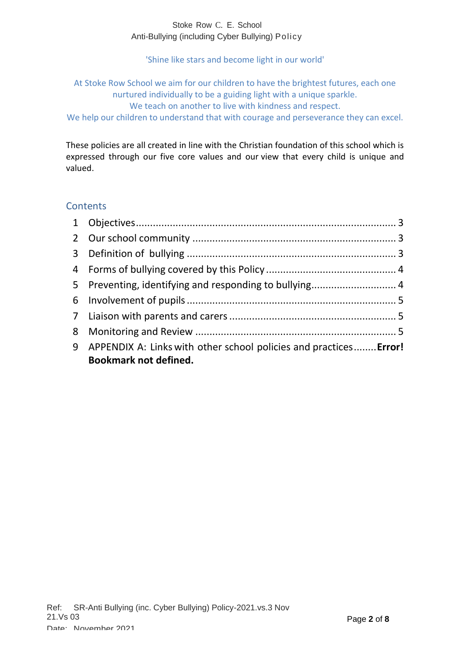'Shine like stars and become light in our world'

At Stoke Row School we aim for our children to have the brightest futures, each one nurtured individually to be a guiding light with a unique sparkle.

We teach on another to live with kindness and respect.

We help our children to understand that with courage and perseverance they can excel.

These policies are all created in line with the Christian foundation of this school which is expressed through our five core values and our view that every child is unique and valued.

#### **Contents**

| 9 APPENDIX A: Links with other school policies and practices Error!<br><b>Bookmark not defined.</b> |  |
|-----------------------------------------------------------------------------------------------------|--|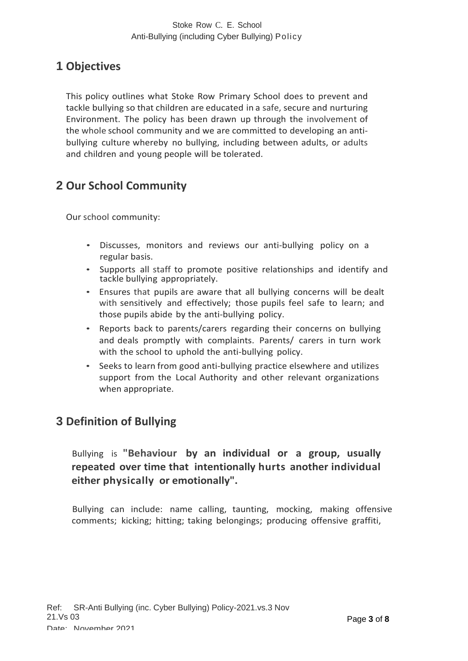# <span id="page-2-0"></span>**1 Objectives**

This policy outlines what Stoke Row Primary School does to prevent and tackle bullying so that children are educated in a safe, secure and nurturing Environment. The policy has been drawn up through the involvement of the whole school community and we are committed to developing an antibullying culture whereby no bullying, including between adults, or adults and children and young people will be tolerated.

# <span id="page-2-1"></span>**2 Our School Community**

Our school community:

- Discusses, monitors and reviews our anti-bullying policy on a regular basis.
- Supports all staff to promote positive relationships and identify and tackle bullying appropriately.
- Ensures that pupils are aware that all bullying concerns will be dealt with sensitively and effectively; those pupils feel safe to learn; and those pupils abide by the anti-bullying policy.
- Reports back to parents/carers regarding their concerns on bullying and deals promptly with complaints. Parents/ carers in turn work with the school to uphold the anti-bullying policy.
- Seeks to learn from good anti-bullying practice elsewhere and utilizes support from the Local Authority and other relevant organizations when appropriate.

# <span id="page-2-2"></span>**3 Definition of Bullying**

#### Bullying is **"Behaviour by an individual or a group, usually repeated over time that intentionally hurts another individual either physically or emotionally".**

Bullying can include: name calling, taunting, mocking, making offensive comments; kicking; hitting; taking belongings; producing offensive graffiti,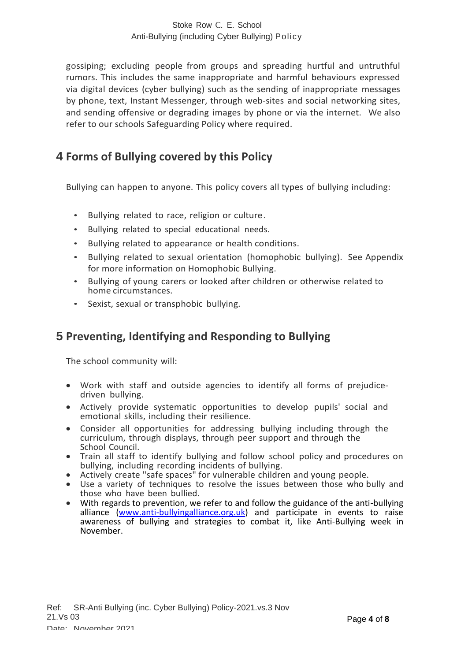gossiping; excluding people from groups and spreading hurtful and untruthful rumors. This includes the same inappropriate and harmful behaviours expressed via digital devices (cyber bullying) such as the sending of inappropriate messages by phone, text, Instant Messenger, through web-sites and social networking sites, and sending offensive or degrading images by phone or via the internet. We also refer to our schools Safeguarding Policy where required.

### <span id="page-3-0"></span>**4 Forms of Bullying covered by this Policy**

Bullying can happen to anyone. This policy covers all types of bullying including:

- Bullying related to race, religion or culture.
- Bullying related to special educational needs.
- Bullying related to appearance or health conditions.
- Bullying related to sexual orientation (homophobic bullying). See Appendix for more information on Homophobic Bullying.
- Bullying of young carers or looked after children or otherwise related to home circumstances.
- Sexist, sexual or transphobic bullying.

### <span id="page-3-1"></span>**5 Preventing, Identifying and Responding to Bullying**

The school community will:

- Work with staff and outside agencies to identify all forms of prejudicedriven bullying.
- Actively provide systematic opportunities to develop pupils' social and emotional skills, including their resilience.
- Consider all opportunities for addressing bullying including through the curriculum, through displays, through peer support and through the School Council.
- Train all staff to identify bullying and follow school policy and procedures on bullying, including recording incidents of bullying.
- Actively create "safe spaces" for vulnerable children and young people.
- Use a variety of techniques to resolve the issues between those who bully and those who have been bullied.
- With regards to prevention, we refer to and follow the guidance of the anti-bullying alliance [\(www.anti-bullyingalliance.org.uk\)](http://www.anti-bullyingalliance.org.uk/) and participate in events to raise awareness of bullying and strategies to combat it, like Anti-Bullying week in November.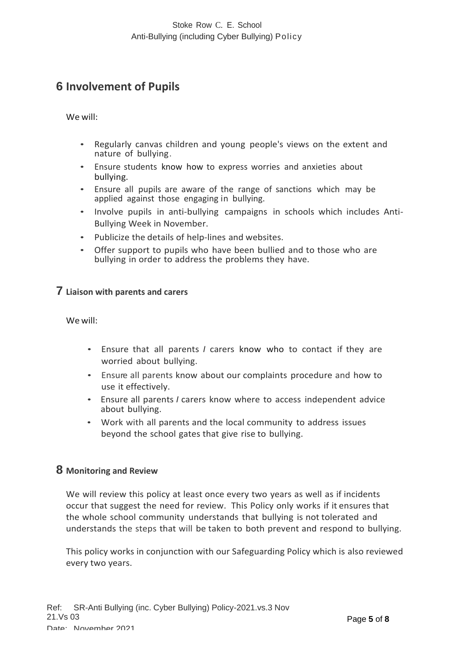# <span id="page-4-0"></span>**6 Involvement of Pupils**

We will:

- Regularly canvas children and young people's views on the extent and nature of bullying.
- Ensure students know how to express worries and anxieties about bullying.
- Ensure all pupils are aware of the range of sanctions which may be applied against those engaging in bullying.
- Involve pupils in anti-bullying campaigns in schools which includes Anti-Bullying Week in November.
- Publicize the details of help-lines and websites.
- Offer support to pupils who have been bullied and to those who are bullying in order to address the problems they have.

#### <span id="page-4-1"></span>**7 Liaison with parents and carers**

We will:

- Ensure that all parents *I* carers know who to contact if they are worried about bullying.
- Ensure all parents know about our complaints procedure and how to use it effectively.
- Ensure all parents *I* carers know where to access independent advice about bullying.
- Work with all parents and the local community to address issues beyond the school gates that give rise to bullying.

#### <span id="page-4-2"></span>**8 Monitoring and Review**

We will review this policy at least once every two years as well as if incidents occur that suggest the need for review. This Policy only works if it ensures that the whole school community understands that bullying is not tolerated and understands the steps that will be taken to both prevent and respond to bullying.

This policy works in conjunction with our Safeguarding Policy which is also reviewed every two years.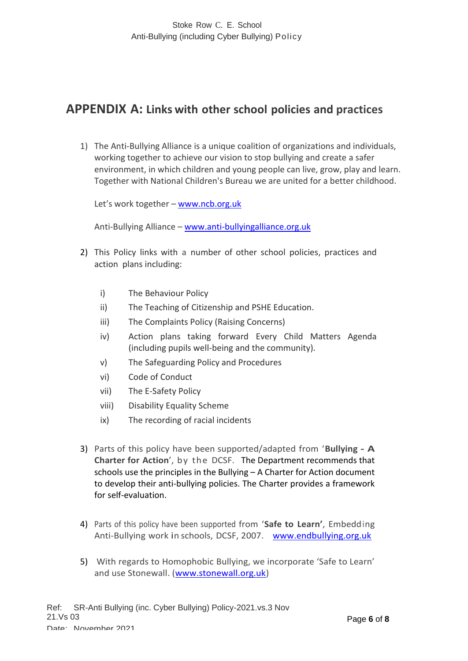## **APPENDIX A: Links with other school policies and practices**

1) The Anti-Bullying Alliance is a unique coalition of organizations and individuals, working together to achieve our vision to stop bullying and create a safer environment, in which children and young people can live, grow, play and learn. Together with National Children's Bureau we are united for a better childhood.

Let's work together – [www.ncb.org.uk](http://www.ncb.org.uk/)

Anti-Bullying Alliance – [www.anti-bullyingalliance.org.uk](http://www.anti-bullyingalliance.org.uk/)

- 2) This Policy links with a number of other school policies, practices and action plans including:
	- i) The Behaviour Policy
	- ii) The Teaching of Citizenship and PSHE Education.
	- iii) The Complaints Policy (Raising Concerns)
	- iv) Action plans taking forward Every Child Matters Agenda (including pupils well-being and the community).
	- v) The Safeguarding Policy and Procedures
	- vi) Code of Conduct
	- vii) The E-Safety Policy
	- viii) Disability Equality Scheme
	- ix) The recording of racial incidents
- 3) Parts of this policy have been supported/adapted from '**Bullying - A Charter for Action**', by the DCSF. The Department recommends that schools use the principles in the Bullying – A Charter for Action document to develop their anti-bullying policies. The Charter provides a framework for self-evaluation.
- 4) Parts of this policy have been supported from '**Safe to Learn'**, Embedding Anti-Bullying work in schools, DCSF, 2007. [www.endbullying.org.uk](http://www.endbullying.org.uk/)
- 5) With regards to Homophobic Bullying, we incorporate 'Safe to Learn' and use Stonewall. [\(www.stonewall.org.uk\)](http://www.stonewall.org.uk/)